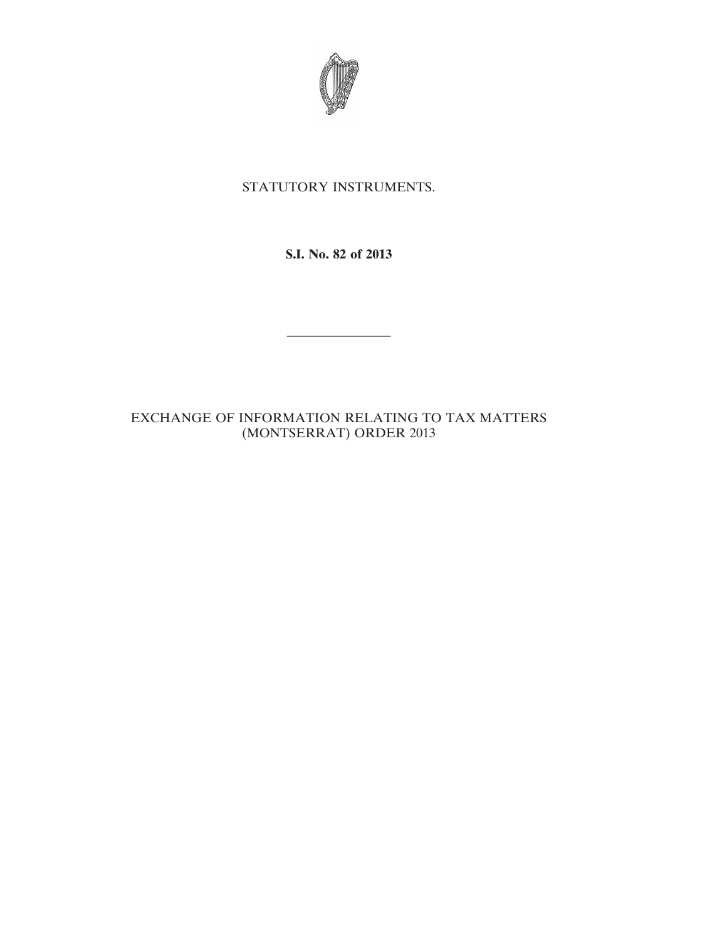

# STATUTORY INSTRUMENTS.

**S.I. No. 82 of 2013**

————————

# EXCHANGE OF INFORMATION RELATING TO TAX MATTERS (MONTSERRAT) ORDER 2013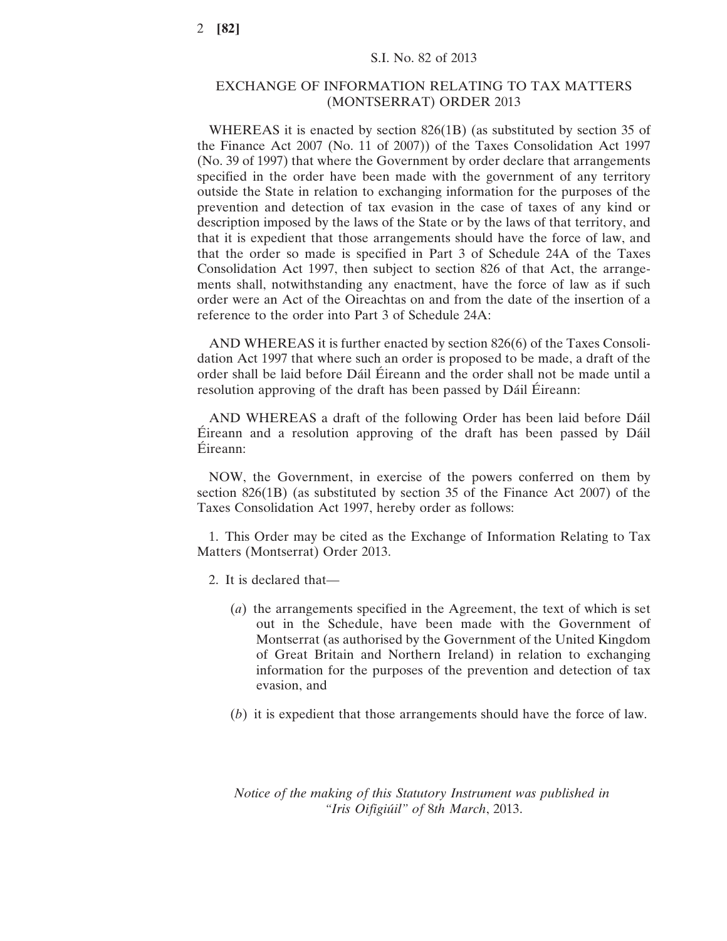## EXCHANGE OF INFORMATION RELATING TO TAX MATTERS (MONTSERRAT) ORDER 2013

WHEREAS it is enacted by section 826(1B) (as substituted by section 35 of the Finance Act 2007 (No. 11 of 2007)) of the Taxes Consolidation Act 1997 (No. 39 of 1997) that where the Government by order declare that arrangements specified in the order have been made with the government of any territory outside the State in relation to exchanging information for the purposes of the prevention and detection of tax evasion in the case of taxes of any kind or description imposed by the laws of the State or by the laws of that territory, and that it is expedient that those arrangements should have the force of law, and that the order so made is specified in Part 3 of Schedule 24A of the Taxes Consolidation Act 1997, then subject to section 826 of that Act, the arrangements shall, notwithstanding any enactment, have the force of law as if such order were an Act of the Oireachtas on and from the date of the insertion of a reference to the order into Part 3 of Schedule 24A:

AND WHEREAS it is further enacted by section 826(6) of the Taxes Consolidation Act 1997 that where such an order is proposed to be made, a draft of the order shall be laid before Dáil Éireann and the order shall not be made until a resolution approving of the draft has been passed by Dáil Éireann:

AND WHEREAS a draft of the following Order has been laid before Dáil Éireann and a resolution approving of the draft has been passed by Dáil Éireann:

NOW, the Government, in exercise of the powers conferred on them by section 826(1B) (as substituted by section 35 of the Finance Act 2007) of the Taxes Consolidation Act 1997, hereby order as follows:

1. This Order may be cited as the Exchange of Information Relating to Tax Matters (Montserrat) Order 2013.

- 2. It is declared that—
	- (*a*) the arrangements specified in the Agreement, the text of which is set out in the Schedule, have been made with the Government of Montserrat (as authorised by the Government of the United Kingdom of Great Britain and Northern Ireland) in relation to exchanging information for the purposes of the prevention and detection of tax evasion, and
	- (*b*) it is expedient that those arrangements should have the force of law.

*Notice of the making of this Statutory Instrument was published in "Iris Oifigiúil" of* 8*th March*, 2013.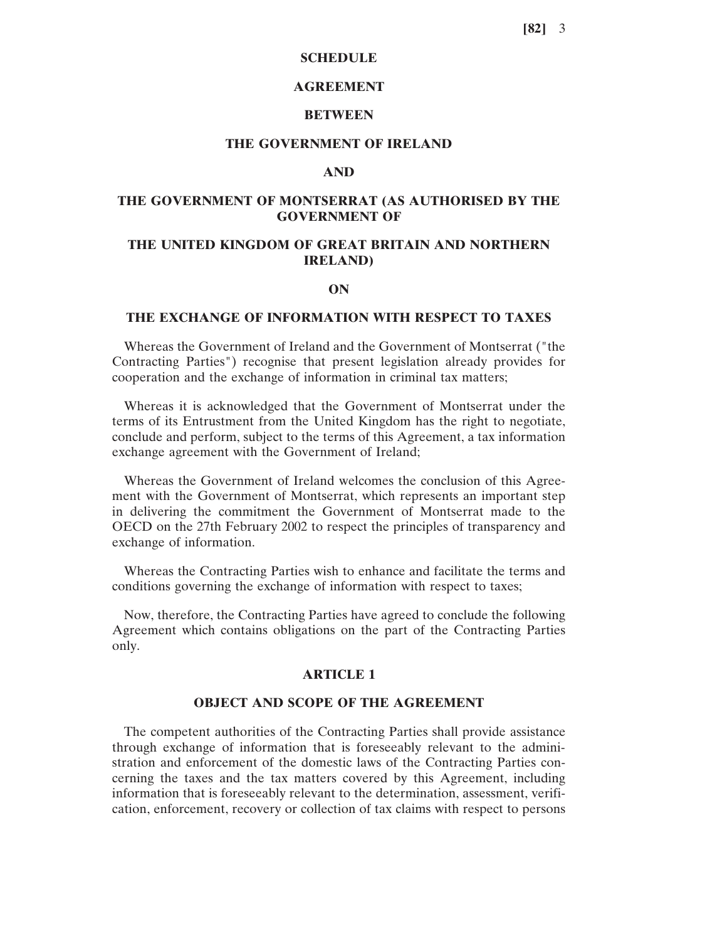## **SCHEDULE**

## **AGREEMENT**

#### **BETWEEN**

## **THE GOVERNMENT OF IRELAND**

#### **AND**

## **THE GOVERNMENT OF MONTSERRAT (AS AUTHORISED BY THE GOVERNMENT OF**

## **THE UNITED KINGDOM OF GREAT BRITAIN AND NORTHERN IRELAND)**

#### **ON**

#### **THE EXCHANGE OF INFORMATION WITH RESPECT TO TAXES**

Whereas the Government of Ireland and the Government of Montserrat ("the Contracting Parties") recognise that present legislation already provides for cooperation and the exchange of information in criminal tax matters;

Whereas it is acknowledged that the Government of Montserrat under the terms of its Entrustment from the United Kingdom has the right to negotiate, conclude and perform, subject to the terms of this Agreement, a tax information exchange agreement with the Government of Ireland;

Whereas the Government of Ireland welcomes the conclusion of this Agreement with the Government of Montserrat, which represents an important step in delivering the commitment the Government of Montserrat made to the OECD on the 27th February 2002 to respect the principles of transparency and exchange of information.

Whereas the Contracting Parties wish to enhance and facilitate the terms and conditions governing the exchange of information with respect to taxes;

Now, therefore, the Contracting Parties have agreed to conclude the following Agreement which contains obligations on the part of the Contracting Parties only.

#### **ARTICLE 1**

#### **OBJECT AND SCOPE OF THE AGREEMENT**

The competent authorities of the Contracting Parties shall provide assistance through exchange of information that is foreseeably relevant to the administration and enforcement of the domestic laws of the Contracting Parties concerning the taxes and the tax matters covered by this Agreement, including information that is foreseeably relevant to the determination, assessment, verification, enforcement, recovery or collection of tax claims with respect to persons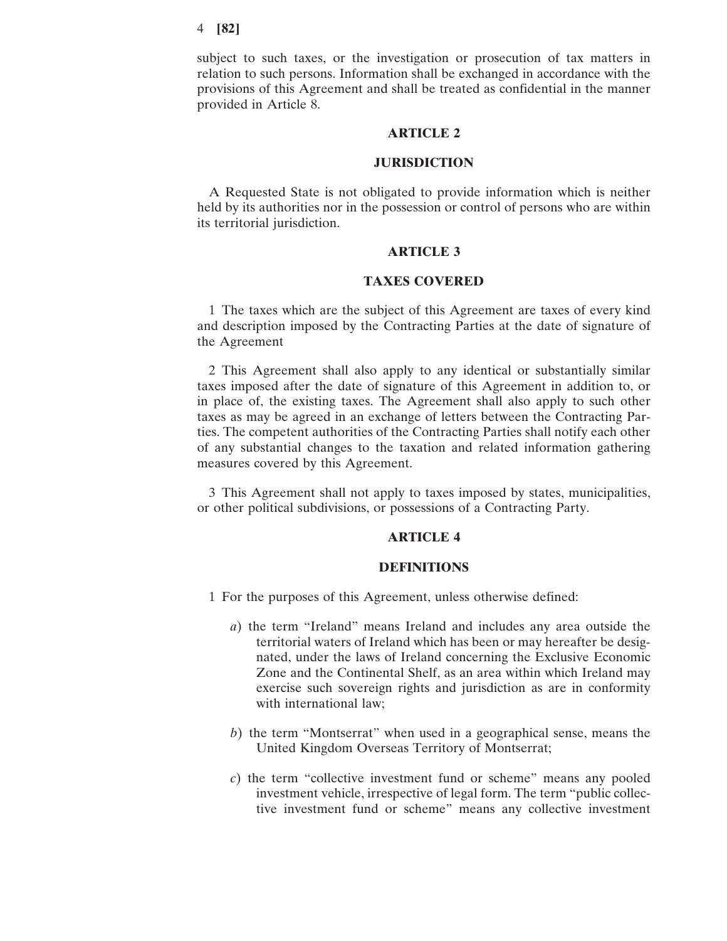#### 4 **[82]**

subject to such taxes, or the investigation or prosecution of tax matters in relation to such persons. Information shall be exchanged in accordance with the provisions of this Agreement and shall be treated as confidential in the manner provided in Article 8.

## **ARTICLE 2**

#### **JURISDICTION**

A Requested State is not obligated to provide information which is neither held by its authorities nor in the possession or control of persons who are within its territorial jurisdiction.

#### **ARTICLE 3**

## **TAXES COVERED**

1 The taxes which are the subject of this Agreement are taxes of every kind and description imposed by the Contracting Parties at the date of signature of the Agreement

2 This Agreement shall also apply to any identical or substantially similar taxes imposed after the date of signature of this Agreement in addition to, or in place of, the existing taxes. The Agreement shall also apply to such other taxes as may be agreed in an exchange of letters between the Contracting Parties. The competent authorities of the Contracting Parties shall notify each other of any substantial changes to the taxation and related information gathering measures covered by this Agreement.

3 This Agreement shall not apply to taxes imposed by states, municipalities, or other political subdivisions, or possessions of a Contracting Party.

## **ARTICLE 4**

#### **DEFINITIONS**

- 1 For the purposes of this Agreement, unless otherwise defined:
	- *a*) the term "Ireland" means Ireland and includes any area outside the territorial waters of Ireland which has been or may hereafter be designated, under the laws of Ireland concerning the Exclusive Economic Zone and the Continental Shelf, as an area within which Ireland may exercise such sovereign rights and jurisdiction as are in conformity with international law;
	- *b*) the term "Montserrat" when used in a geographical sense, means the United Kingdom Overseas Territory of Montserrat;
	- *c*) the term "collective investment fund or scheme" means any pooled investment vehicle, irrespective of legal form. The term "public collective investment fund or scheme" means any collective investment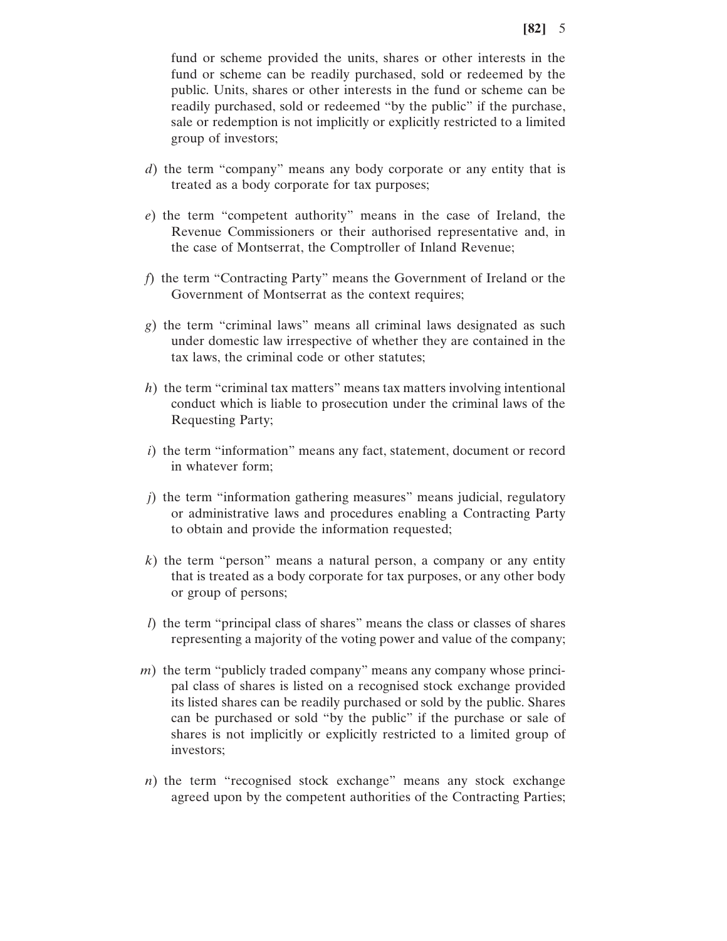fund or scheme provided the units, shares or other interests in the fund or scheme can be readily purchased, sold or redeemed by the public. Units, shares or other interests in the fund or scheme can be readily purchased, sold or redeemed "by the public" if the purchase, sale or redemption is not implicitly or explicitly restricted to a limited group of investors;

- *d*) the term "company" means any body corporate or any entity that is treated as a body corporate for tax purposes;
- *e*) the term "competent authority" means in the case of Ireland, the Revenue Commissioners or their authorised representative and, in the case of Montserrat, the Comptroller of Inland Revenue;
- *f*) the term "Contracting Party" means the Government of Ireland or the Government of Montserrat as the context requires;
- *g*) the term "criminal laws" means all criminal laws designated as such under domestic law irrespective of whether they are contained in the tax laws, the criminal code or other statutes;
- *h*) the term "criminal tax matters" means tax matters involving intentional conduct which is liable to prosecution under the criminal laws of the Requesting Party;
- *i*) the term "information" means any fact, statement, document or record in whatever form;
- *j*) the term "information gathering measures" means judicial, regulatory or administrative laws and procedures enabling a Contracting Party to obtain and provide the information requested;
- *k*) the term "person" means a natural person, a company or any entity that is treated as a body corporate for tax purposes, or any other body or group of persons;
- *l*) the term "principal class of shares" means the class or classes of shares representing a majority of the voting power and value of the company;
- *m*) the term "publicly traded company" means any company whose principal class of shares is listed on a recognised stock exchange provided its listed shares can be readily purchased or sold by the public. Shares can be purchased or sold "by the public" if the purchase or sale of shares is not implicitly or explicitly restricted to a limited group of investors;
- *n*) the term "recognised stock exchange" means any stock exchange agreed upon by the competent authorities of the Contracting Parties;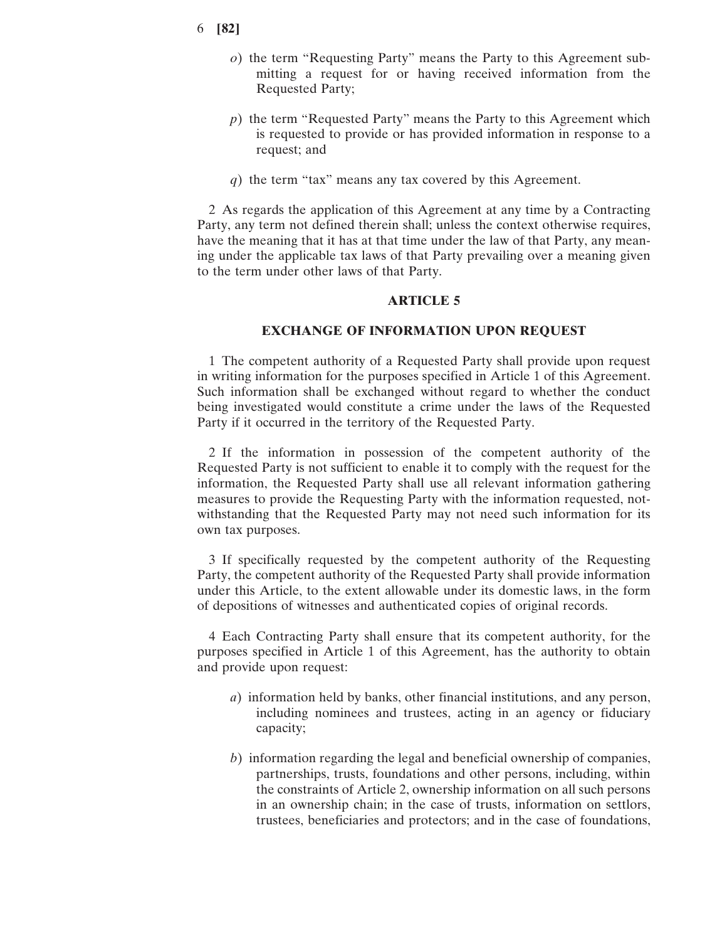- 6 **[82]**
	- *o*) the term "Requesting Party" means the Party to this Agreement submitting a request for or having received information from the Requested Party;
	- *p*) the term "Requested Party" means the Party to this Agreement which is requested to provide or has provided information in response to a request; and
	- *q*) the term "tax" means any tax covered by this Agreement.

2 As regards the application of this Agreement at any time by a Contracting Party, any term not defined therein shall; unless the context otherwise requires, have the meaning that it has at that time under the law of that Party, any meaning under the applicable tax laws of that Party prevailing over a meaning given to the term under other laws of that Party.

## **ARTICLE 5**

#### **EXCHANGE OF INFORMATION UPON REQUEST**

1 The competent authority of a Requested Party shall provide upon request in writing information for the purposes specified in Article 1 of this Agreement. Such information shall be exchanged without regard to whether the conduct being investigated would constitute a crime under the laws of the Requested Party if it occurred in the territory of the Requested Party.

2 If the information in possession of the competent authority of the Requested Party is not sufficient to enable it to comply with the request for the information, the Requested Party shall use all relevant information gathering measures to provide the Requesting Party with the information requested, notwithstanding that the Requested Party may not need such information for its own tax purposes.

3 If specifically requested by the competent authority of the Requesting Party, the competent authority of the Requested Party shall provide information under this Article, to the extent allowable under its domestic laws, in the form of depositions of witnesses and authenticated copies of original records.

4 Each Contracting Party shall ensure that its competent authority, for the purposes specified in Article 1 of this Agreement, has the authority to obtain and provide upon request:

- *a*) information held by banks, other financial institutions, and any person, including nominees and trustees, acting in an agency or fiduciary capacity;
- *b*) information regarding the legal and beneficial ownership of companies, partnerships, trusts, foundations and other persons, including, within the constraints of Article 2, ownership information on all such persons in an ownership chain; in the case of trusts, information on settlors, trustees, beneficiaries and protectors; and in the case of foundations,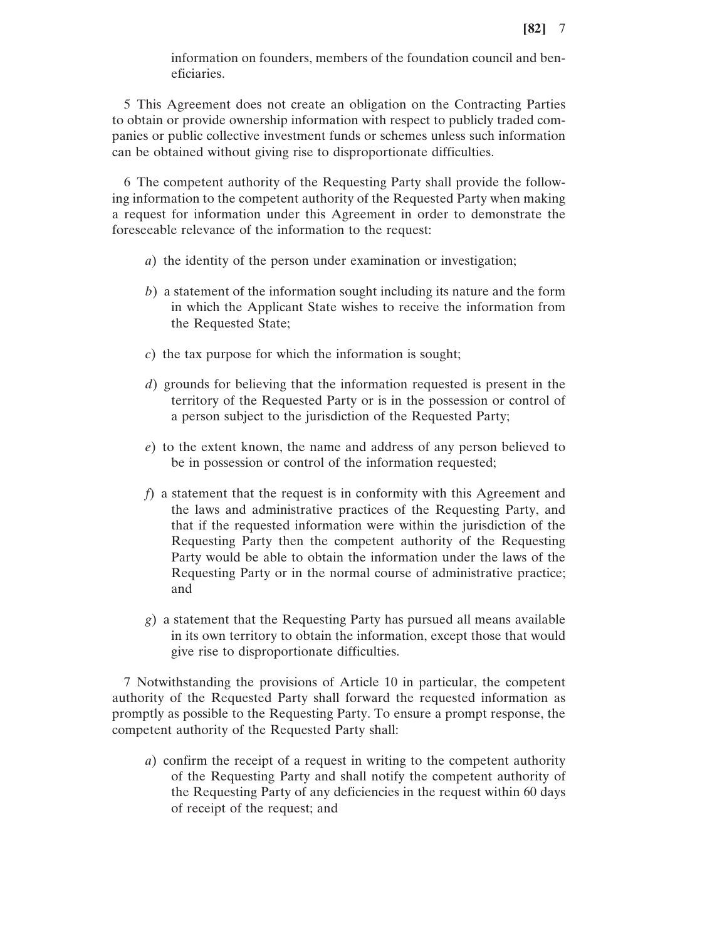information on founders, members of the foundation council and beneficiaries.

5 This Agreement does not create an obligation on the Contracting Parties to obtain or provide ownership information with respect to publicly traded companies or public collective investment funds or schemes unless such information can be obtained without giving rise to disproportionate difficulties.

6 The competent authority of the Requesting Party shall provide the following information to the competent authority of the Requested Party when making a request for information under this Agreement in order to demonstrate the foreseeable relevance of the information to the request:

- *a*) the identity of the person under examination or investigation;
- *b*) a statement of the information sought including its nature and the form in which the Applicant State wishes to receive the information from the Requested State;
- *c*) the tax purpose for which the information is sought;
- *d*) grounds for believing that the information requested is present in the territory of the Requested Party or is in the possession or control of a person subject to the jurisdiction of the Requested Party;
- *e*) to the extent known, the name and address of any person believed to be in possession or control of the information requested;
- *f*) a statement that the request is in conformity with this Agreement and the laws and administrative practices of the Requesting Party, and that if the requested information were within the jurisdiction of the Requesting Party then the competent authority of the Requesting Party would be able to obtain the information under the laws of the Requesting Party or in the normal course of administrative practice; and
- *g*) a statement that the Requesting Party has pursued all means available in its own territory to obtain the information, except those that would give rise to disproportionate difficulties.

7 Notwithstanding the provisions of Article 10 in particular, the competent authority of the Requested Party shall forward the requested information as promptly as possible to the Requesting Party. To ensure a prompt response, the competent authority of the Requested Party shall:

*a*) confirm the receipt of a request in writing to the competent authority of the Requesting Party and shall notify the competent authority of the Requesting Party of any deficiencies in the request within 60 days of receipt of the request; and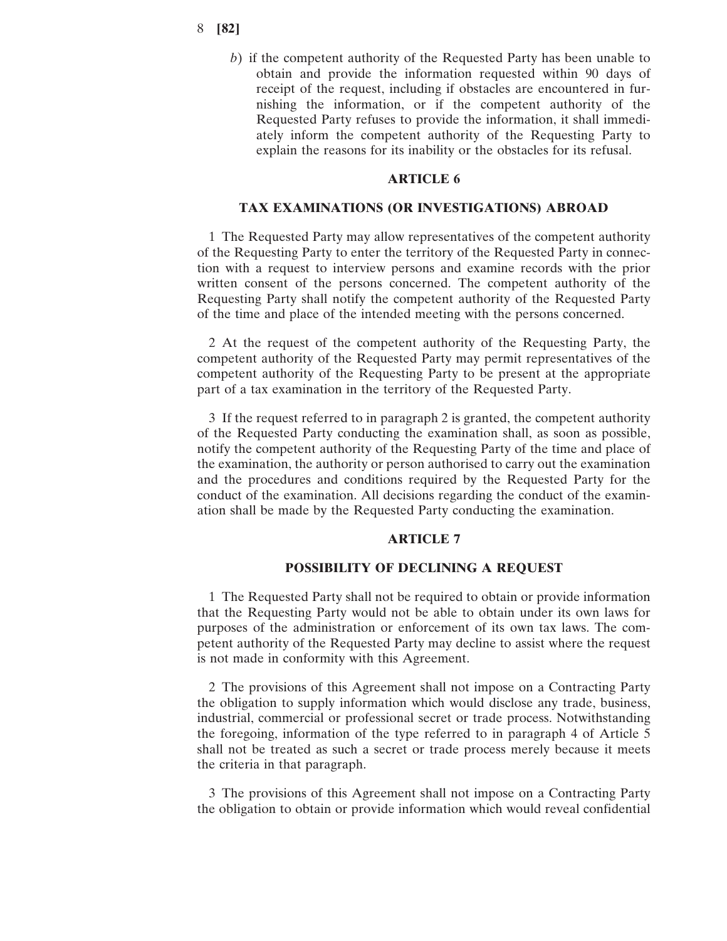### 8 **[82]**

*b*) if the competent authority of the Requested Party has been unable to obtain and provide the information requested within 90 days of receipt of the request, including if obstacles are encountered in furnishing the information, or if the competent authority of the Requested Party refuses to provide the information, it shall immediately inform the competent authority of the Requesting Party to explain the reasons for its inability or the obstacles for its refusal.

## **ARTICLE 6**

## **TAX EXAMINATIONS (OR INVESTIGATIONS) ABROAD**

1 The Requested Party may allow representatives of the competent authority of the Requesting Party to enter the territory of the Requested Party in connection with a request to interview persons and examine records with the prior written consent of the persons concerned. The competent authority of the Requesting Party shall notify the competent authority of the Requested Party of the time and place of the intended meeting with the persons concerned.

2 At the request of the competent authority of the Requesting Party, the competent authority of the Requested Party may permit representatives of the competent authority of the Requesting Party to be present at the appropriate part of a tax examination in the territory of the Requested Party.

3 If the request referred to in paragraph 2 is granted, the competent authority of the Requested Party conducting the examination shall, as soon as possible, notify the competent authority of the Requesting Party of the time and place of the examination, the authority or person authorised to carry out the examination and the procedures and conditions required by the Requested Party for the conduct of the examination. All decisions regarding the conduct of the examination shall be made by the Requested Party conducting the examination.

## **ARTICLE 7**

## **POSSIBILITY OF DECLINING A REQUEST**

1 The Requested Party shall not be required to obtain or provide information that the Requesting Party would not be able to obtain under its own laws for purposes of the administration or enforcement of its own tax laws. The competent authority of the Requested Party may decline to assist where the request is not made in conformity with this Agreement.

2 The provisions of this Agreement shall not impose on a Contracting Party the obligation to supply information which would disclose any trade, business, industrial, commercial or professional secret or trade process. Notwithstanding the foregoing, information of the type referred to in paragraph 4 of Article 5 shall not be treated as such a secret or trade process merely because it meets the criteria in that paragraph.

3 The provisions of this Agreement shall not impose on a Contracting Party the obligation to obtain or provide information which would reveal confidential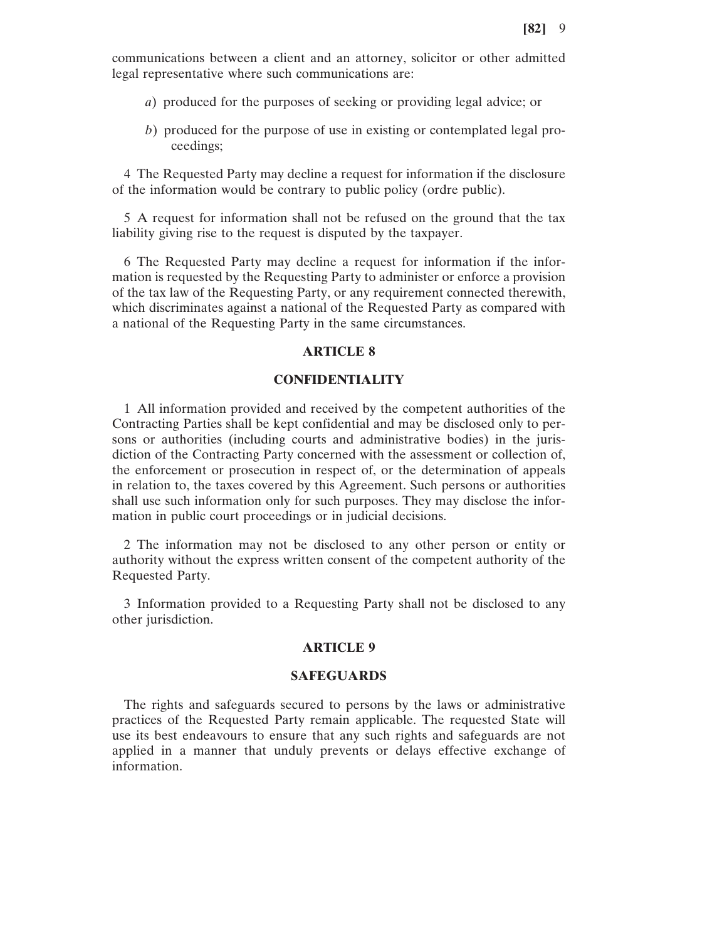communications between a client and an attorney, solicitor or other admitted legal representative where such communications are:

- *a*) produced for the purposes of seeking or providing legal advice; or
- *b*) produced for the purpose of use in existing or contemplated legal proceedings;

4 The Requested Party may decline a request for information if the disclosure of the information would be contrary to public policy (ordre public).

5 A request for information shall not be refused on the ground that the tax liability giving rise to the request is disputed by the taxpayer.

6 The Requested Party may decline a request for information if the information is requested by the Requesting Party to administer or enforce a provision of the tax law of the Requesting Party, or any requirement connected therewith, which discriminates against a national of the Requested Party as compared with a national of the Requesting Party in the same circumstances.

# **ARTICLE 8**

## **CONFIDENTIALITY**

1 All information provided and received by the competent authorities of the Contracting Parties shall be kept confidential and may be disclosed only to persons or authorities (including courts and administrative bodies) in the jurisdiction of the Contracting Party concerned with the assessment or collection of, the enforcement or prosecution in respect of, or the determination of appeals in relation to, the taxes covered by this Agreement. Such persons or authorities shall use such information only for such purposes. They may disclose the information in public court proceedings or in judicial decisions.

2 The information may not be disclosed to any other person or entity or authority without the express written consent of the competent authority of the Requested Party.

3 Information provided to a Requesting Party shall not be disclosed to any other jurisdiction.

# **ARTICLE 9**

#### **SAFEGUARDS**

The rights and safeguards secured to persons by the laws or administrative practices of the Requested Party remain applicable. The requested State will use its best endeavours to ensure that any such rights and safeguards are not applied in a manner that unduly prevents or delays effective exchange of information.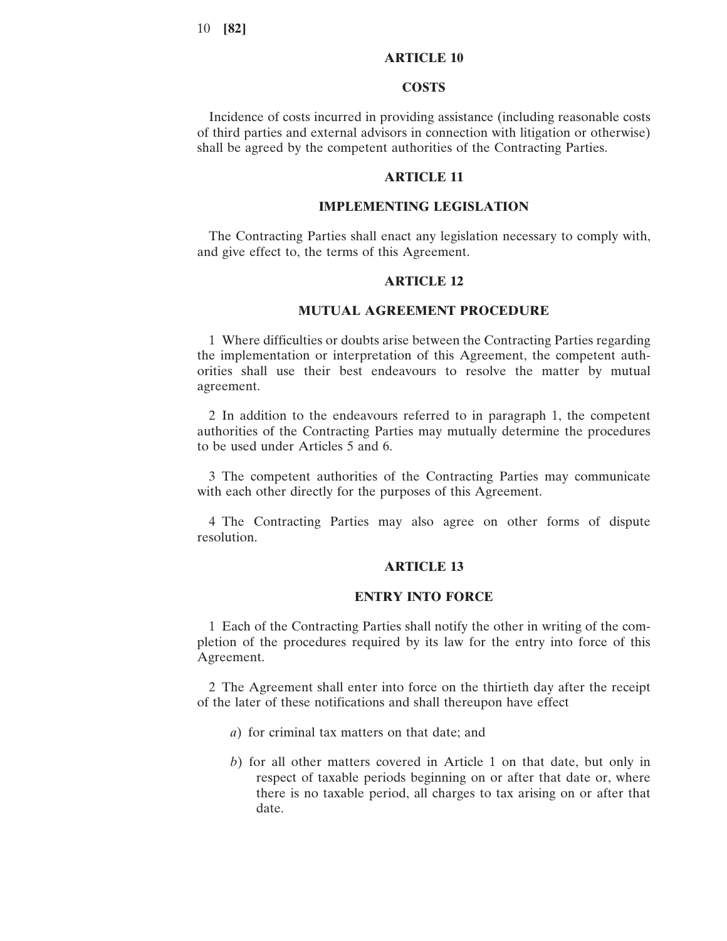# **ARTICLE 10**

#### **COSTS**

Incidence of costs incurred in providing assistance (including reasonable costs of third parties and external advisors in connection with litigation or otherwise) shall be agreed by the competent authorities of the Contracting Parties.

# **ARTICLE 11**

#### **IMPLEMENTING LEGISLATION**

The Contracting Parties shall enact any legislation necessary to comply with, and give effect to, the terms of this Agreement.

# **ARTICLE 12**

#### **MUTUAL AGREEMENT PROCEDURE**

1 Where difficulties or doubts arise between the Contracting Parties regarding the implementation or interpretation of this Agreement, the competent authorities shall use their best endeavours to resolve the matter by mutual agreement.

2 In addition to the endeavours referred to in paragraph 1, the competent authorities of the Contracting Parties may mutually determine the procedures to be used under Articles 5 and 6.

3 The competent authorities of the Contracting Parties may communicate with each other directly for the purposes of this Agreement.

4 The Contracting Parties may also agree on other forms of dispute resolution.

#### **ARTICLE 13**

#### **ENTRY INTO FORCE**

1 Each of the Contracting Parties shall notify the other in writing of the completion of the procedures required by its law for the entry into force of this Agreement.

2 The Agreement shall enter into force on the thirtieth day after the receipt of the later of these notifications and shall thereupon have effect

- *a*) for criminal tax matters on that date; and
- *b*) for all other matters covered in Article 1 on that date, but only in respect of taxable periods beginning on or after that date or, where there is no taxable period, all charges to tax arising on or after that date.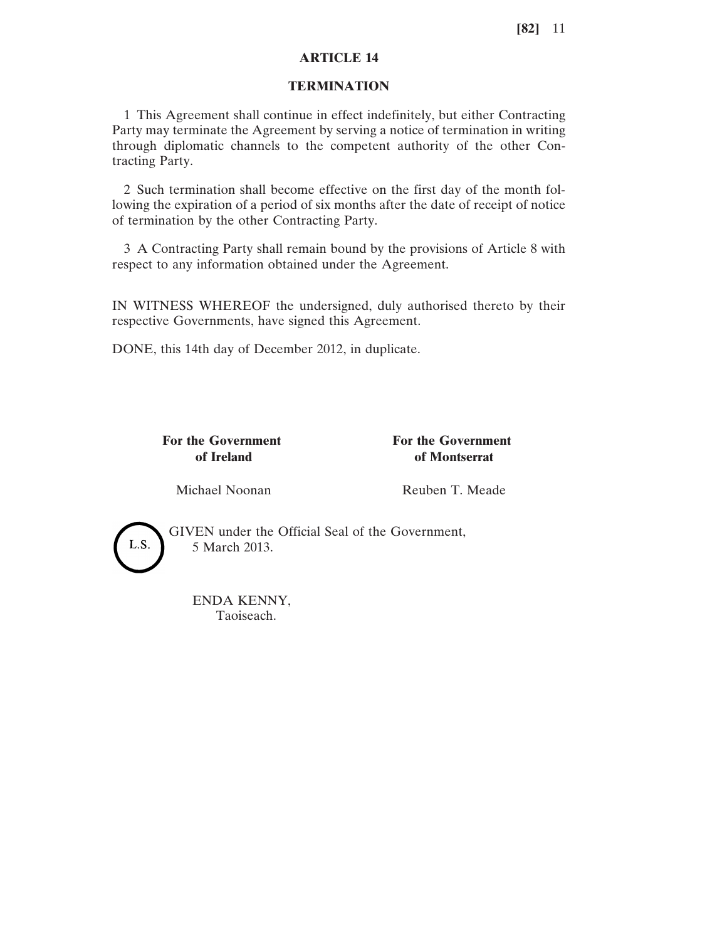# **ARTICLE 14**

# **TERMINATION**

1 This Agreement shall continue in effect indefinitely, but either Contracting Party may terminate the Agreement by serving a notice of termination in writing through diplomatic channels to the competent authority of the other Contracting Party.

2 Such termination shall become effective on the first day of the month following the expiration of a period of six months after the date of receipt of notice of termination by the other Contracting Party.

3 A Contracting Party shall remain bound by the provisions of Article 8 with respect to any information obtained under the Agreement.

IN WITNESS WHEREOF the undersigned, duly authorised thereto by their respective Governments, have signed this Agreement.

DONE, this 14th day of December 2012, in duplicate.

**For the Government For the Government**

**of Ireland of Montserrat**

Michael Noonan Reuben T. Meade



GIVEN under the Official Seal of the Government, 5 March 2013.

ENDA KENNY, Taoiseach.